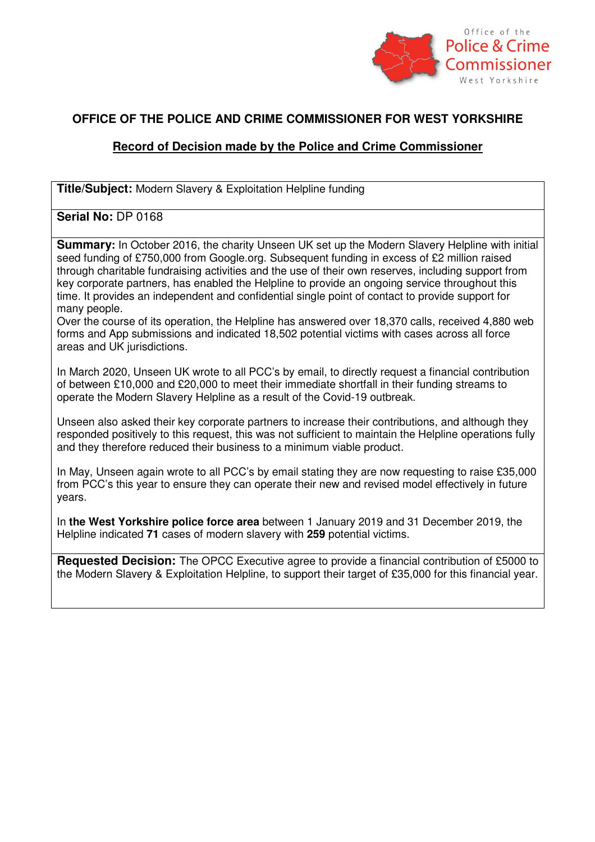

## **OFFICE OF THE POLICE AND CRIME COMMISSIONER FOR WEST YORKSHIRE**

## **Record of Decision made by the Police and Crime Commissioner**

**Title/Subject:** Modern Slavery & Exploitation Helpline funding

## **Serial No:** DP 0168

**Summary:** In October 2016, the charity Unseen UK set up the Modern Slavery Helpline with initial seed funding of £750,000 from Google.org. Subsequent funding in excess of £2 million raised through charitable fundraising activities and the use of their own reserves, including support from key corporate partners, has enabled the Helpline to provide an ongoing service throughout this time. It provides an independent and confidential single point of contact to provide support for many people.

Over the course of its operation, the Helpline has answered over 18,370 calls, received 4,880 web forms and App submissions and indicated 18,502 potential victims with cases across all force areas and UK jurisdictions.

In March 2020, Unseen UK wrote to all PCC's by email, to directly request a financial contribution of between £10,000 and £20,000 to meet their immediate shortfall in their funding streams to operate the Modern Slavery Helpline as a result of the Covid-19 outbreak.

Unseen also asked their key corporate partners to increase their contributions, and although they responded positively to this request, this was not sufficient to maintain the Helpline operations fully and they therefore reduced their business to a minimum viable product.

In May, Unseen again wrote to all PCC's by email stating they are now requesting to raise £35,000 from PCC's this year to ensure they can operate their new and revised model effectively in future years.

In **the West Yorkshire police force area** between 1 January 2019 and 31 December 2019, the Helpline indicated **71** cases of modern slavery with **259** potential victims.

**Requested Decision:** The OPCC Executive agree to provide a financial contribution of £5000 to the Modern Slavery & Exploitation Helpline, to support their target of £35,000 for this financial year.